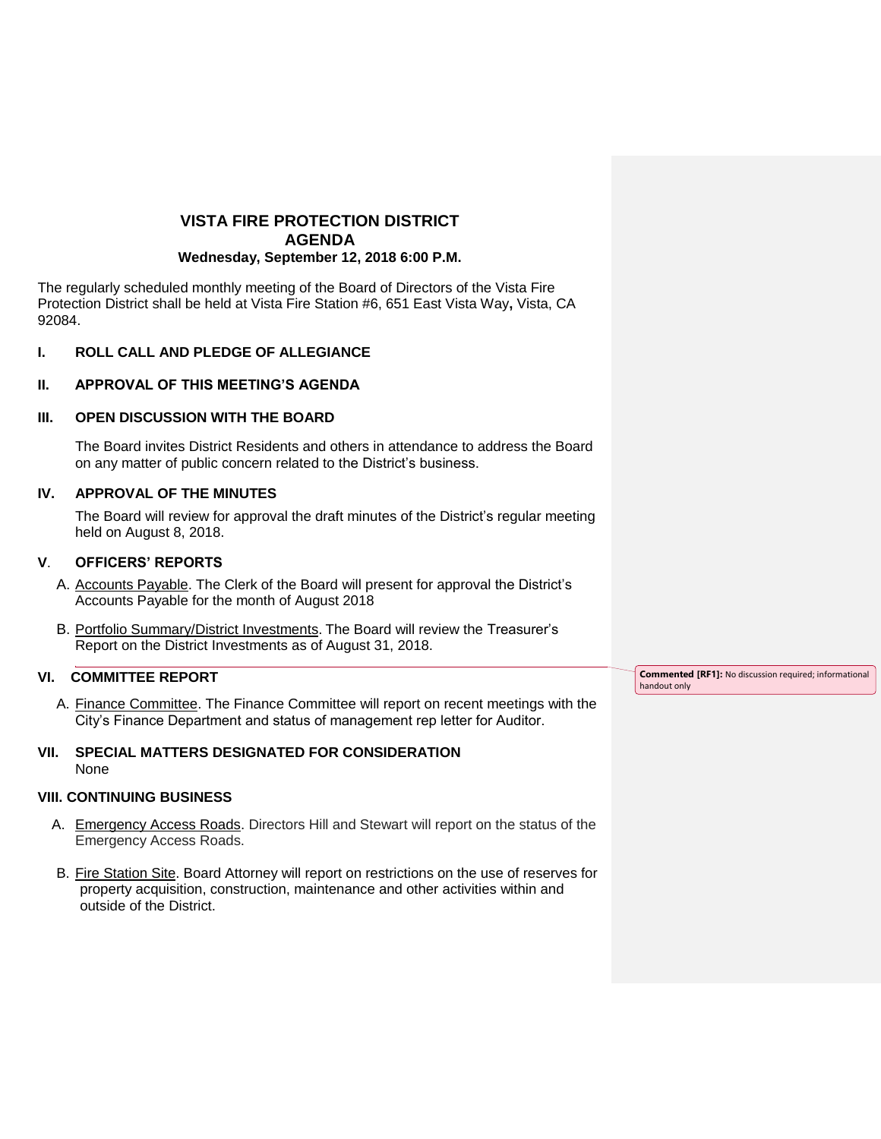# **VISTA FIRE PROTECTION DISTRICT AGENDA Wednesday, September 12, 2018 6:00 P.M.**

The regularly scheduled monthly meeting of the Board of Directors of the Vista Fire Protection District shall be held at Vista Fire Station #6, 651 East Vista Way**,** Vista, CA 92084.

# **I. ROLL CALL AND PLEDGE OF ALLEGIANCE**

# **II. APPROVAL OF THIS MEETING'S AGENDA**

#### **III. OPEN DISCUSSION WITH THE BOARD**

The Board invites District Residents and others in attendance to address the Board on any matter of public concern related to the District's business.

#### **IV. APPROVAL OF THE MINUTES**

The Board will review for approval the draft minutes of the District's regular meeting held on August 8, 2018.

#### **V**. **OFFICERS' REPORTS**

- A. Accounts Payable. The Clerk of the Board will present for approval the District's Accounts Payable for the month of August 2018
- B. Portfolio Summary/District Investments. The Board will review the Treasurer's Report on the District Investments as of August 31, 2018.

# **VI. COMMITTEE REPORT**

A. Finance Committee. The Finance Committee will report on recent meetings with the City's Finance Department and status of management rep letter for Auditor.

#### **VII. SPECIAL MATTERS DESIGNATED FOR CONSIDERATION** None

#### **VIII. CONTINUING BUSINESS**

- A. Emergency Access Roads. Directors Hill and Stewart will report on the status of the Emergency Access Roads.
- B. Fire Station Site. Board Attorney will report on restrictions on the use of reserves for property acquisition, construction, maintenance and other activities within and outside of the District.

**Commented [RF1]:** No discussion required; informational handout only